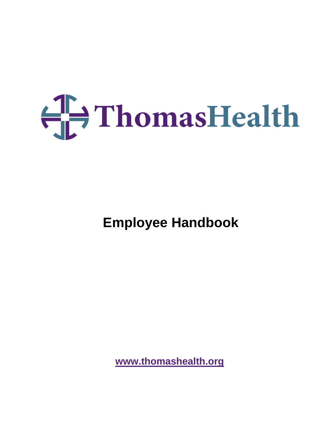# $\bigoplus$  ThomasHealth

**Employee Handbook** 

**[www.thomashealth.org](http://www.thomashealth.org/)**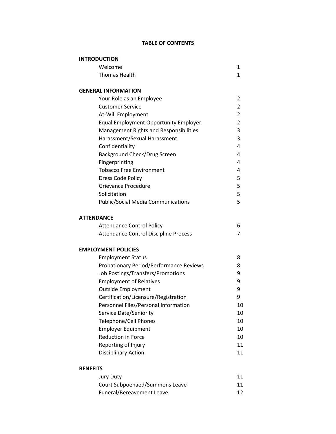# **TABLE OF CONTENTS**

| <b>INTRODUCTION</b>                            |                |
|------------------------------------------------|----------------|
| Welcome                                        | 1              |
| <b>Thomas Health</b>                           | $\mathbf{1}$   |
| <b>GENERAL INFORMATION</b>                     |                |
| Your Role as an Employee                       | 2              |
| <b>Customer Service</b>                        | 2              |
| At-Will Employment                             | 2              |
| <b>Equal Employment Opportunity Employer</b>   | $\overline{2}$ |
| <b>Management Rights and Responsibilities</b>  | 3              |
| Harassment/Sexual Harassment                   | 3              |
| Confidentiality                                | 4              |
| Background Check/Drug Screen                   | 4              |
| Fingerprinting                                 | 4              |
| <b>Tobacco Free Environment</b>                | 4              |
| Dress Code Policy                              | 5              |
| Grievance Procedure                            | 5              |
| Solicitation                                   | 5              |
| <b>Public/Social Media Communications</b>      | 5              |
| <b>ATTENDANCE</b>                              |                |
| <b>Attendance Control Policy</b>               | 6              |
| <b>Attendance Control Discipline Process</b>   | 7              |
| <b>EMPLOYMENT POLICIES</b>                     |                |
| <b>Employment Status</b>                       | 8              |
| <b>Probationary Period/Performance Reviews</b> | 8              |
| Job Postings/Transfers/Promotions              | 9              |
| <b>Employment of Relatives</b>                 | 9              |
| <b>Outside Employment</b>                      | 9              |
| Certification/Licensure/Registration           | 9              |
| Personnel Files/Personal Information           | 10             |
| Service Date/Seniority                         | 10             |
| <b>Telephone/Cell Phones</b>                   | 10             |
| <b>Employer Equipment</b>                      | 10             |
| <b>Reduction in Force</b>                      | 10             |
| Reporting of Injury                            | 11             |
| <b>Disciplinary Action</b>                     | 11             |
| <b>BENEFITS</b>                                |                |
| Jury Duty                                      | 11             |

| <b>JUIY DULY</b>               | ᆂᆂ |
|--------------------------------|----|
| Court Subpoenaed/Summons Leave | 11 |
| Funeral/Bereavement Leave      | 12 |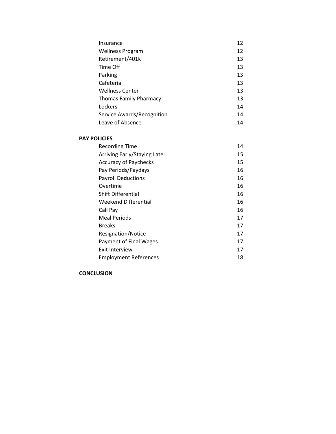| Insurance                     | 12 |
|-------------------------------|----|
| Wellness Program              | 12 |
| Retirement/401k               | 13 |
| Time Off                      | 13 |
| Parking                       | 13 |
| Cafeteria                     | 13 |
| <b>Wellness Center</b>        | 13 |
| <b>Thomas Family Pharmacy</b> | 13 |
| Lockers                       | 14 |
| Service Awards/Recognition    | 14 |
| Leave of Absence              | 14 |

#### **PAY POLICIES**

| <b>Recording Time</b>        | 14 |
|------------------------------|----|
| Arriving Early/Staying Late  | 15 |
| <b>Accuracy of Paychecks</b> | 15 |
| Pay Periods/Paydays          | 16 |
| <b>Payroll Deductions</b>    | 16 |
| Overtime                     | 16 |
| <b>Shift Differential</b>    | 16 |
| Weekend Differential         | 16 |
| Call Pay                     | 16 |
| Meal Periods                 | 17 |
| <b>Breaks</b>                | 17 |
| Resignation/Notice           | 17 |
| Payment of Final Wages       | 17 |
| Exit Interview               | 17 |
| <b>Employment References</b> | 18 |

#### **CONCLUSION**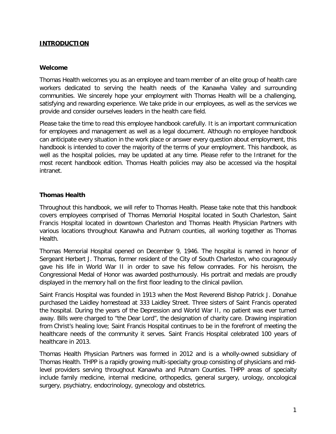# **INTRODUCTION**

## **Welcome**

Thomas Health welcomes you as an employee and team member of an elite group of health care workers dedicated to serving the health needs of the Kanawha Valley and surrounding communities. We sincerely hope your employment with Thomas Health will be a challenging, satisfying and rewarding experience. We take pride in our employees, as well as the services we provide and consider ourselves leaders in the health care field.

Please take the time to read this employee handbook carefully. It is an important communication for employees and management as well as a legal document. Although no employee handbook can anticipate every situation in the work place or answer every question about employment, this handbook is intended to cover the majority of the terms of your employment. This handbook, as well as the hospital policies, may be updated at any time. Please refer to the Intranet for the most recent handbook edition. Thomas Health policies may also be accessed via the hospital intranet.

# **Thomas Health**

Throughout this handbook, we will refer to Thomas Health. Please take note that this handbook covers employees comprised of Thomas Memorial Hospital located in South Charleston, Saint Francis Hospital located in downtown Charleston and Thomas Health Physician Partners with various locations throughout Kanawha and Putnam counties, all working together as Thomas Health.

Thomas Memorial Hospital opened on December 9, 1946. The hospital is named in honor of Sergeant Herbert J. Thomas, former resident of the City of South Charleston, who courageously gave his life in World War II in order to save his fellow comrades. For his heroism, the Congressional Medal of Honor was awarded posthumously. His portrait and medals are proudly displayed in the memory hall on the first floor leading to the clinical pavilion.

Saint Francis Hospital was founded in 1913 when the Most Reverend Bishop Patrick J. Donahue purchased the Laidley homestead at 333 Laidley Street. Three sisters of Saint Francis operated the hospital. During the years of the Depression and World War II, no patient was ever turned away. Bills were charged to "the Dear Lord", the designation of charity care. Drawing inspiration from Christ's healing love; Saint Francis Hospital continues to be in the forefront of meeting the healthcare needs of the community it serves. Saint Francis Hospital celebrated 100 years of healthcare in 2013.

Thomas Health Physician Partners was formed in 2012 and is a wholly-owned subsidiary of Thomas Health. THPP is a rapidly growing multi-specialty group consisting of physicians and midlevel providers serving throughout Kanawha and Putnam Counties. THPP areas of specialty include family medicine, internal medicine, orthopedics, general surgery, urology, oncological surgery, psychiatry, endocrinology, gynecology and obstetrics.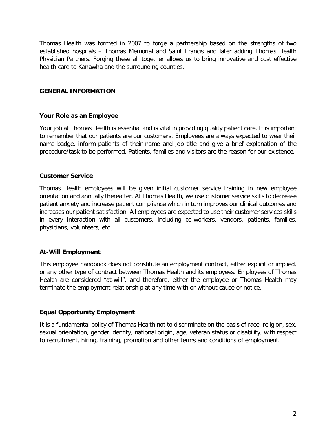Thomas Health was formed in 2007 to forge a partnership based on the strengths of two established hospitals – Thomas Memorial and Saint Francis and later adding Thomas Health Physician Partners. Forging these all together allows us to bring innovative and cost effective health care to Kanawha and the surrounding counties.

# **GENERAL INFORMATION**

#### **Your Role as an Employee**

Your job at Thomas Health is essential and is vital in providing quality patient care. It is important to remember that our patients are our customers. Employees are always expected to wear their name badge, inform patients of their name and job title and give a brief explanation of the procedure/task to be performed. Patients, families and visitors are the reason for our existence.

#### **Customer Service**

Thomas Health employees will be given initial customer service training in new employee orientation and annually thereafter. At Thomas Health, we use customer service skills to decrease patient anxiety and increase patient compliance which in turn improves our clinical outcomes and increases our patient satisfaction. All employees are expected to use their customer services skills in every interaction with all customers, including co-workers, vendors, patients, families, physicians, volunteers, etc.

# **At-Will Employment**

This employee handbook does not constitute an employment contract, either explicit or implied, or any other type of contract between Thomas Health and its employees. Employees of Thomas Health are considered "at-will", and therefore, either the employee or Thomas Health may terminate the employment relationship at any time with or without cause or notice.

#### **Equal Opportunity Employment**

It is a fundamental policy of Thomas Health not to discriminate on the basis of race, religion, sex, sexual orientation, gender identity, national origin, age, veteran status or disability, with respect to recruitment, hiring, training, promotion and other terms and conditions of employment.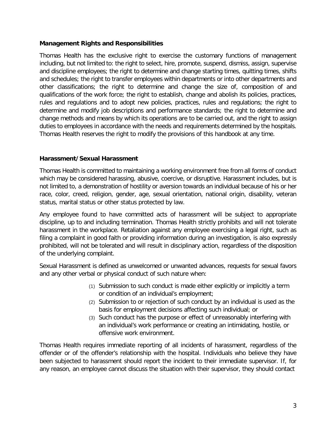# **Management Rights and Responsibilities**

Thomas Health has the exclusive right to exercise the customary functions of management including, but not limited to: the right to select, hire, promote, suspend, dismiss, assign, supervise and discipline employees; the right to determine and change starting times, quitting times, shifts and schedules; the right to transfer employees within departments or into other departments and other classifications; the right to determine and change the size of, composition of and qualifications of the work force; the right to establish, change and abolish its policies, practices, rules and regulations and to adopt new policies, practices, rules and regulations; the right to determine and modify job descriptions and performance standards; the right to determine and change methods and means by which its operations are to be carried out, and the right to assign duties to employees in accordance with the needs and requirements determined by the hospitals. Thomas Health reserves the right to modify the provisions of this handbook at any time.

# **Harassment/Sexual Harassment**

Thomas Health is committed to maintaining a working environment free from all forms of conduct which may be considered harassing, abusive, coercive, or disruptive. Harassment includes, but is not limited to, a demonstration of hostility or aversion towards an individual because of his or her race, color, creed, religion, gender, age, sexual orientation, national origin, disability, veteran status, marital status or other status protected by law.

Any employee found to have committed acts of harassment will be subject to appropriate discipline, up to and including termination. Thomas Health strictly prohibits and will not tolerate harassment in the workplace. Retaliation against any employee exercising a legal right, such as filing a complaint in good faith or providing information during an investigation, is also expressly prohibited, will not be tolerated and will result in disciplinary action, regardless of the disposition of the underlying complaint.

Sexual Harassment is defined as unwelcomed or unwanted advances, requests for sexual favors and any other verbal or physical conduct of such nature when:

- (1) Submission to such conduct is made either explicitly or implicitly a term or condition of an individual's employment;
- (2) Submission to or rejection of such conduct by an individual is used as the basis for employment decisions affecting such individual; or
- (3) Such conduct has the purpose or effect of unreasonably interfering with an individual's work performance or creating an intimidating, hostile, or offensive work environment.

Thomas Health requires immediate reporting of all incidents of harassment, regardless of the offender or of the offender's relationship with the hospital. Individuals who believe they have been subjected to harassment should report the incident to their immediate supervisor. If, for any reason, an employee cannot discuss the situation with their supervisor, they should contact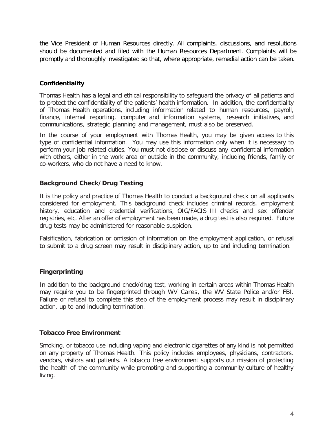the Vice President of Human Resources directly. All complaints, discussions, and resolutions should be documented and filed with the Human Resources Department. Complaints will be promptly and thoroughly investigated so that, where appropriate, remedial action can be taken.

# **Confidentiality**

Thomas Health has a legal and ethical responsibility to safeguard the privacy of all patients and to protect the confidentiality of the patients' health information. In addition, the confidentiality of Thomas Health operations, including information related to human resources, payroll, finance, internal reporting, computer and information systems, research initiatives, and communications, strategic planning and management, must also be preserved.

In the course of your employment with Thomas Health, you may be given access to this type of confidential information. You may use this information only when it is necessary to perform your job related duties. You must not disclose or discuss any confidential information with others, either in the work area or outside in the community, including friends, family or co-workers, who do not have a need to know.

# **Background Check/Drug Testing**

It is the policy and practice of Thomas Health to conduct a background check on all applicants considered for employment. This background check includes criminal records, employment history, education and credential verifications, OIG/FACIS III checks and sex offender registries, etc. After an offer of employment has been made, a drug test is also required. Future drug tests may be administered for reasonable suspicion.

Falsification, fabrication or omission of information on the employment application, or refusal to submit to a drug screen may result in disciplinary action, up to and including termination.

# **Fingerprinting**

In addition to the background check/drug test, working in certain areas within Thomas Health may require you to be fingerprinted through WV Cares, the WV State Police and/or FBI. Failure or refusal to complete this step of the employment process may result in disciplinary action, up to and including termination.

# **Tobacco Free Environment**

Smoking, or tobacco use including vaping and electronic cigarettes of any kind is not permitted on any property of Thomas Health. This policy includes employees, physicians, contractors, vendors, visitors and patients. A tobacco free environment supports our mission of protecting the health of the community while promoting and supporting a community culture of healthy living.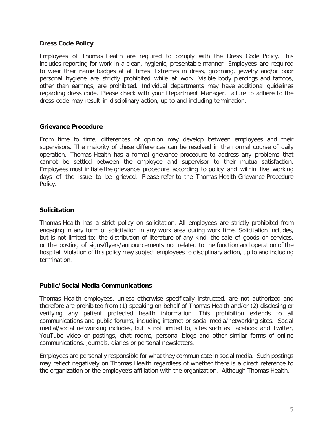#### **Dress Code Policy**

Employees of Thomas Health are required to comply with the Dress Code Policy. This includes reporting for work in a clean, hygienic, presentable manner. Employees are required to wear their name badges at all times. Extremes in dress, grooming, jewelry and/or poor personal hygiene are strictly prohibited while at work. Visible body piercings and tattoos, other than earrings, are prohibited. Individual departments may have additional guidelines regarding dress code. Please check with your Department Manager. Failure to adhere to the dress code may result in disciplinary action, up to and including termination.

#### **Grievance Procedure**

From time to time, differences of opinion may develop between employees and their supervisors. The majority of these differences can be resolved in the normal course of daily operation. Thomas Health has a formal grievance procedure to address any problems that cannot be settled between the employee and supervisor to their mutual satisfaction. Employees must initiate the grievance procedure according to policy and within five working days of the issue to be grieved. Please refer to the Thomas Health Grievance Procedure Policy.

#### **Solicitation**

Thomas Health has a strict policy on solicitation. All employees are strictly prohibited from engaging in any form of solicitation in any work area during work time. Solicitation includes, but is not limited to: the distribution of literature of any kind, the sale of goods or services, or the posting of signs/flyers/announcements not related to the function and operation of the hospital. Violation of this policy may subject employees to disciplinary action, up to and including termination.

#### **Public/Social Media Communications**

Thomas Health employees, unless otherwise specifically instructed, are not authorized and therefore are prohibited from (1) speaking on behalf of Thomas Health and/or (2) disclosing or verifying any patient protected health information. This prohibition extends to all communications and public forums, including internet or social media/networking sites. Social medial/social networking includes, but is not limited to, sites such as Facebook and Twitter, YouTube video or postings, chat rooms, personal blogs and other similar forms of online communications, journals, diaries or personal newsletters.

Employees are personally responsible for what they communicate in social media. Such postings may reflect negatively on Thomas Health regardless of whether there is a direct reference to the organization or the employee's affiliation with the organization. Although Thomas Health,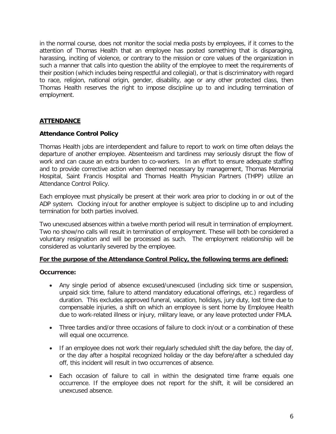in the normal course, does not monitor the social media posts by employees, if it comes to the attention of Thomas Health that an employee has posted something that is disparaging, harassing, inciting of violence, or contrary to the mission or core values of the organization in such a manner that calls into question the ability of the employee to meet the requirements of their position (which includes being respectful and collegial), or that is discriminatory with regard to race, religion, national origin, gender, disability, age or any other protected class, then Thomas Health reserves the right to impose discipline up to and including termination of employment.

# **ATTENDANCE**

# **Attendance Control Policy**

Thomas Health jobs are interdependent and failure to report to work on time often delays the departure of another employee. Absenteeism and tardiness may seriously disrupt the flow of work and can cause an extra burden to co-workers. In an effort to ensure adequate staffing and to provide corrective action when deemed necessary by management, Thomas Memorial Hospital, Saint Francis Hospital and Thomas Health Physician Partners (THPP) utilize an Attendance Control Policy.

Each employee must physically be present at their work area prior to clocking in or out of the ADP system. Clocking in/out for another employee is subject to discipline up to and including termination for both parties involved.

Two unexcused absences within a twelve month period will result in termination of employment. Two no show/no calls will result in termination of employment. These will both be considered a voluntary resignation and will be processed as such. The employment relationship will be considered as voluntarily severed by the employee.

#### **For the purpose of the Attendance Control Policy, the following terms are defined:**

#### **Occurrence:**

- Any single period of absence excused/unexcused (including sick time or suspension, unpaid sick time, failure to attend mandatory educational offerings, etc.) regardless of duration. This excludes approved funeral, vacation, holidays, jury duty, lost time due to compensable injuries, a shift on which an employee is sent home by Employee Health due to work-related illness or injury, military leave, or any leave protected under FMLA.
- Three tardies and/or three occasions of failure to clock in/out or a combination of these will equal one occurrence.
- If an employee does not work their regularly scheduled shift the day before, the day of, or the day after a hospital recognized holiday or the day before/after a scheduled day off, this incident will result in two occurrences of absence.
- Each occasion of failure to call in within the designated time frame equals one occurrence. If the employee does not report for the shift, it will be considered an unexcused absence.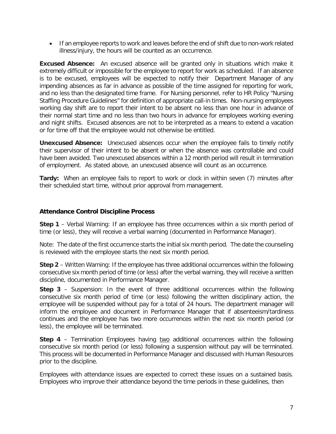• If an employee reports to work and leaves before the end of shift due to non-work related illness/injury, the hours will be counted as an occurrence.

**Excused Absence:** An excused absence will be granted only in situations which make it extremely difficult or impossible for the employee to report for work as scheduled. If an absence is to be excused, employees will be expected to notify their Department Manager of any impending absences as far in advance as possible of the time assigned for reporting for work, and no less than the designated time frame. For Nursing personnel, refer to HR Policy "Nursing Staffing Procedure Guidelines" for definition of appropriate call-in times. Non-nursing employees working day shift are to report their intent to be absent no less than one hour in advance of their normal start time and no less than two hours in advance for employees working evening and night shifts. Excused absences are not to be interpreted as a means to extend a vacation or for time off that the employee would not otherwise be entitled.

**Unexcused Absence:** Unexcused absences occur when the employee fails to timely notify their supervisor of their intent to be absent or when the absence was controllable and could have been avoided. Two unexcused absences within a 12 month period will result in termination of employment. As stated above, an unexcused absence will count as an occurrence.

**Tardy:** When an employee fails to report to work or clock in within seven (7) minutes after their scheduled start time, without prior approval from management.

# **Attendance Control Discipline Process**

**Step 1** – Verbal Warning: If an employee has three occurrences within a six month period of time (or less), they will receive a verbal warning (documented in Performance Manager).

Note: The date of the first occurrence starts the initial six month period. The date the counseling is reviewed with the employee starts the next six month period.

**Step 2** – Written Warning: If the employee has three additional occurrences within the following consecutive six month period of time (or less) after the verbal warning, they will receive a written discipline, documented in Performance Manager.

**Step 3** – Suspension: In the event of three additional occurrences within the following consecutive six month period of time (or less) following the written disciplinary action, the employee will be suspended without pay for a total of 24 hours. The department manager will inform the employee and document in Performance Manager that if absenteeism/tardiness continues and the employee has two more occurrences within the next six month period (or less), the employee will be terminated.

**Step 4** – Termination Employees having two additional occurrences within the following consecutive six month period (or less) following a suspension without pay will be terminated. This process will be documented in Performance Manager and discussed with Human Resources prior to the discipline.

Employees with attendance issues are expected to correct these issues on a sustained basis. Employees who improve their attendance beyond the time periods in these guidelines, then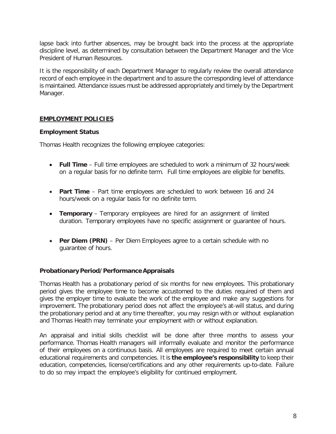lapse back into further absences, may be brought back into the process at the appropriate discipline level, as determined by consultation between the Department Manager and the Vice President of Human Resources.

It is the responsibility of each Department Manager to regularly review the overall attendance record of each employee in the department and to assure the corresponding level of attendance is maintained. Attendance issues must be addressed appropriately and timely by the Department Manager.

# **EMPLOYMENT POLICIES**

#### **Employment Status**

Thomas Health recognizes the following employee categories:

- **Full Time** Full time employees are scheduled to work a minimum of 32 hours/week on a regular basis for no definite term. Full time employees are eligible for benefits.
- **Part Time** Part time employees are scheduled to work between 16 and 24 hours/week on a regular basis for no definite term.
- **Temporary** Temporary employees are hired for an assignment of limited duration. Temporary employees have no specific assignment or guarantee of hours.
- **Per Diem (PRN)** Per Diem Employees agree to a certain schedule with no guarantee of hours.

#### **ProbationaryPeriod/PerformanceAppraisals**

Thomas Health has a probationary period of six months for new employees. This probationary period gives the employee time to become accustomed to the duties required of them and gives the employer time to evaluate the work of the employee and make any suggestions for improvement. The probationary period does not affect the employee's at-will status, and during the probationary period and at any time thereafter, you may resign with or without explanation and Thomas Health may terminate your employment with or without explanation.

An appraisal and initial skills checklist will be done after three months to assess your performance. Thomas Health managers will informally evaluate and monitor the performance of their employees on a continuous basis. All employees are required to meet certain annual educational requirements and competencies. It is **the employee's responsibility** to keep their education, competencies, license/certifications and any other requirements up-to-date. Failure to do so may impact the employee's eligibility for continued employment.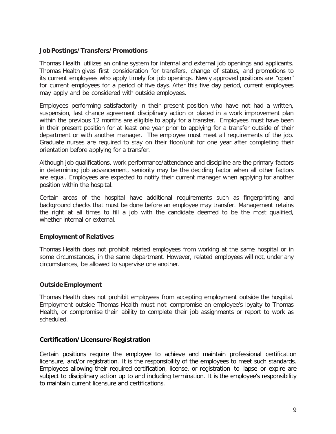### **Job Postings/Transfers/Promotions**

Thomas Health utilizes an online system for internal and external job openings and applicants. Thomas Health gives first consideration for transfers, change of status, and promotions to its current employees who apply timely for job openings. Newly approved positions are "open" for current employees for a period of five days. After this five day period, current employees may apply and be considered with outside employees.

Employees performing satisfactorily in their present position who have not had a written, suspension, last chance agreement disciplinary action or placed in a work improvement plan within the previous 12 months are eligible to apply for a transfer. Employees must have been in their present position for at least one year prior to applying for a transfer outside of their department or with another manager. The employee must meet all requirements of the job. Graduate nurses are required to stay on their floor/unit for one year after completing their orientation before applying for a transfer.

Although job qualifications, work performance/attendance and discipline are the primary factors in determining job advancement, seniority may be the deciding factor when all other factors are equal. Employees are expected to notify their current manager when applying for another position within the hospital.

Certain areas of the hospital have additional requirements such as fingerprinting and background checks that must be done before an employee may transfer. Management retains the right at all times to fill a job with the candidate deemed to be the most qualified, whether internal or external.

#### **Employment of Relatives**

Thomas Health does not prohibit related employees from working at the same hospital or in some circumstances, in the same department. However, related employees will not, under any circumstances, be allowed to supervise one another.

#### **Outside Employment**

Thomas Health does not prohibit employees from accepting employment outside the hospital. Employment outside Thomas Health must not compromise an employee's loyalty to Thomas Health, or compromise their ability to complete their job assignments or report to work as scheduled.

#### **Certification/Licensure/Registration**

Certain positions require the employee to achieve and maintain professional certification licensure, and/or registration. It is the responsibility of the employees to meet such standards. Employees allowing their required certification, license, or registration to lapse or expire are subject to disciplinary action up to and including termination. It is the employee's responsibility to maintain current licensure and certifications.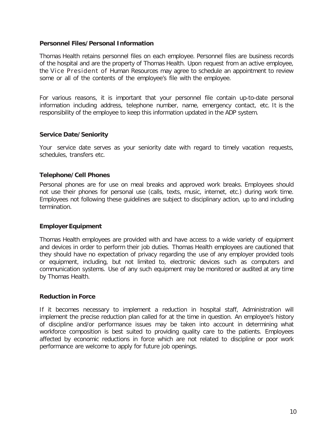#### **Personnel Files/Personal Information**

Thomas Health retains personnel files on each employee. Personnel files are business records of the hospital and are the property of Thomas Health. Upon request from an active employee, the Vice President of Human Resources may agree to schedule an appointment to review some or all of the contents of the employee's file with the employee.

For various reasons, it is important that your personnel file contain up-to-date personal information including address, telephone number, name, emergency contact, etc. It is the responsibility of the employee to keep this information updated in the ADP system.

#### **Service Date/Seniority**

Your service date serves as your seniority date with regard to timely vacation requests, schedules, transfers etc.

#### **Telephone/Cell Phones**

Personal phones are for use on meal breaks and approved work breaks. Employees should not use their phones for personal use (calls, texts, music, internet, etc.) during work time. Employees not following these guidelines are subject to disciplinary action, up to and including termination.

#### **Employer Equipment**

Thomas Health employees are provided with and have access to a wide variety of equipment and devices in order to perform their job duties. Thomas Health employees are cautioned that they should have no expectation of privacy regarding the use of any employer provided tools or equipment, including, but not limited to, electronic devices such as computers and communication systems. Use of any such equipment may be monitored or audited at any time by Thomas Health.

#### **Reduction in Force**

If it becomes necessary to implement a reduction in hospital staff, Administration will implement the precise reduction plan called for at the time in question. An employee's history of discipline and/or performance issues may be taken into account in determining what workforce composition is best suited to providing quality care to the patients. Employees affected by economic reductions in force which are not related to discipline or poor work performance are welcome to apply for future job openings.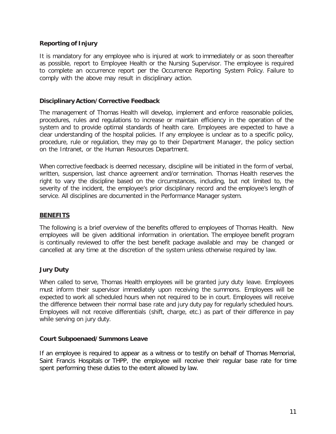# **Reporting of Injury**

It is mandatory for any employee who is injured at work to immediately or as soon thereafter as possible, report to Employee Health or the Nursing Supervisor. The employee is required to complete an occurrence report per the Occurrence Reporting System Policy. Failure to comply with the above may result in disciplinary action.

#### **Disciplinary Action/Corrective Feedback**

The management of Thomas Health will develop, implement and enforce reasonable policies, procedures, rules and regulations to increase or maintain efficiency in the operation of the system and to provide optimal standards of health care. Employees are expected to have a clear understanding of the hospital policies. If any employee is unclear as to a specific policy, procedure, rule or regulation, they may go to their Department Manager, the policy section on the Intranet, or the Human Resources Department.

When corrective feedback is deemed necessary, discipline will be initiated in the form of verbal, written, suspension, last chance agreement and/or termination. Thomas Health reserves the right to vary the discipline based on the circumstances, including, but not limited to, the severity of the incident, the employee's prior disciplinary record and the employee's length of service. All disciplines are documented in the Performance Manager system.

#### **BENEFITS**

The following is a brief overview of the benefits offered to employees of Thomas Health. New employees will be given additional information in orientation. The employee benefit program is continually reviewed to offer the best benefit package available and may be changed or cancelled at any time at the discretion of the system unless otherwise required by law.

#### **Jury Duty**

When called to serve, Thomas Health employees will be granted jury duty leave. Employees must inform their supervisor immediately upon receiving the summons. Employees will be expected to work all scheduled hours when not required to be in court. Employees will receive the difference between their normal base rate and jury duty pay for regularly scheduled hours. Employees will not receive differentials (shift, charge, etc.) as part of their difference in pay while serving on jury duty.

#### **Court Subpoenaed/Summons Leave**

If an employee is required to appear as a witness or to testify on behalf of Thomas Memorial, Saint Francis Hospitals or THPP, the employee will receive their regular base rate for time spent performing these duties to the extent allowed by law.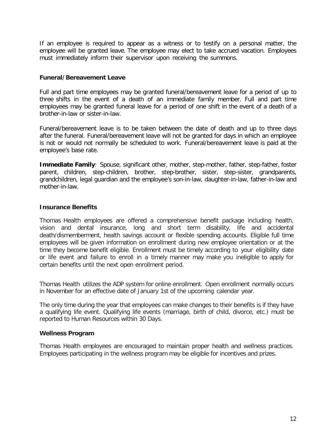If an employee is required to appear as a witness or to testify on a personal matter, the employee will be granted leave. The employee may elect to take accrued vacation. Employees must immediately inform their supervisor upon receiving the summons.

#### **Funeral/Bereavement Leave**

Full and part time employees may be granted funeral/bereavement leave for a period of up to three shifts in the event of a death of an immediate family member. Full and part time employees may be granted funeral leave for a period of one shift in the event of a death of a brother-in-law or sister-in-law.

Funeral/bereavement leave is to be taken between the date of death and up to three days after the funeral. Funeral/bereavement leave will not be granted for days in which an employee is not or would not normally be scheduled to work. Funeral/bereavement leave is paid at the employee's base rate.

**Immediate Family**: Spouse, significant other, mother, step-mother, father, step-father, foster parent, children, step-children, brother, step-brother, sister, step-sister, grandparents, grandchildren, legal guardian and the employee's son-in-law, daughter-in-law, father-in-law and mother-in-law.

#### **Insurance Benefits**

Thomas Health employees are offered a comprehensive benefit package including health, vision and dental insurance, long and short term disability, life and accidental death/dismemberment, health savings account or flexible spending accounts. Eligible full time employees will be given information on enrollment during new employee orientation or at the time they become benefit eligible. Enrollment must be timely according to your eligibility date or life event and failure to enroll in a timely manner may make you ineligible to apply for certain benefits until the next open enrollment period.

Thomas Health utilizes the ADP system for online enrollment. Open enrollment normally occurs in November for an effective date of January 1st of the upcoming calendar year.

The only time during the year that employees can make changes to their benefits is if they have a qualifying life event. Qualifying life events (marriage, birth of child, divorce, etc.) must be reported to Human Resources within 30 Days.

#### **Wellness Program**

Thomas Health employees are encouraged to maintain proper health and wellness practices. Employees participating in the wellness program may be eligible for incentives and prizes.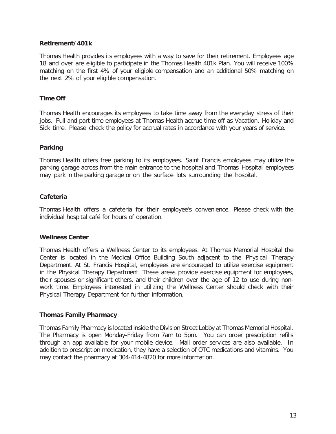# **Retirement/401k**

Thomas Health provides its employees with a way to save for their retirement. Employees age 18 and over are eligible to participate in the Thomas Health 401k Plan. You will receive 100% matching on the first 4% of your eligible compensation and an additional 50% matching on the next 2% of your eligible compensation.

# **Time Off**

Thomas Health encourages its employees to take time away from the everyday stress of their jobs. Full and part time employees at Thomas Health accrue time off as Vacation, Holiday and Sick time. Please check the policy for accrual rates in accordance with your years of service.

#### **Parking**

Thomas Health offers free parking to its employees. Saint Francis employees may utilize the parking garage across from the main entrance to the hospital and Thomas Hospital employees may park in the parking garage or on the surface lots surrounding the hospital.

# **Cafeteria**

Thomas Health offers a cafeteria for their employee's convenience. Please check with the individual hospital café for hours of operation.

#### **Wellness Center**

Thomas Health offers a Wellness Center to its employees. At Thomas Memorial Hospital the Center is located in the Medical Office Building South adjacent to the Physical Therapy Department. At St. Francis Hospital, employees are encouraged to utilize exercise equipment in the Physical Therapy Department. These areas provide exercise equipment for employees, their spouses or significant others, and their children over the age of 12 to use during nonwork time. Employees interested in utilizing the Wellness Center should check with their Physical Therapy Department for further information.

#### **Thomas Family Pharmacy**

Thomas Family Pharmacy is located inside the Division Street Lobby at Thomas Memorial Hospital. The Pharmacy is open Monday-Friday from 7am to 5pm. You can order prescription refills through an app available for your mobile device. Mail order services are also available. In addition to prescription medication, they have a selection of OTC medications and vitamins. You may contact the pharmacy at 304-414-4820 for more information.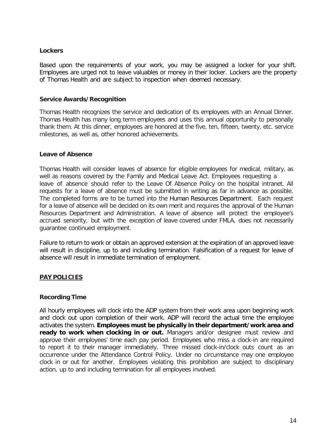### **Lockers**

Based upon the requirements of your work, you may be assigned a locker for your shift. Employees are urged not to leave valuables or money in their locker. Lockers are the property of Thomas Health and are subject to inspection when deemed necessary.

#### **Service Awards/Recognition**

Thomas Health recognizes the service and dedication of its employees with an Annual Dinner. Thomas Health has many long term employees and uses this annual opportunity to personally thank them. At this dinner, employees are honored at the five, ten, fifteen, twenty, etc. service milestones, as well as, other honored achievements.

#### **Leave of Absence**

Thomas Health will consider leaves of absence for eligible employees for medical, military, as well as reasons covered by the Family and Medical Leave Act. Employees requesting a leave of absence should refer to the Leave Of Absence Policy on the hospital intranet. All requests for a leave of absence must be submitted in writing as far in advance as possible. The completed forms are to be turned into the Human Resources Department. Each request for a leave of absence will be decided on its own merit and requires the approval of the Human Resources Department and Administration. A leave of absence will protect the employee's accrued seniority, but with the exception of leave covered under FMLA, does not necessarily guarantee continued employment.

Failure to return to work or obtain an approved extension at the expiration of an approved leave will result in discipline, up to and including termination. Falsification of a request for leave of absence will result in immediate termination of employment.

#### **PAY POLICIES**

#### **Recording Time**

All hourly employees will clock into the ADP system from their work area upon beginning work and clock out upon completion of their work. ADP will record the actual time the employee activates the system. **Employees must be physically in their department/work area and ready to work when clocking in or out.** Managers and/or designee must review and approve their employees' time each pay period. Employees who miss a clock-in are required to report it to their manager immediately. Three missed clock-in/clock outs count as an occurrence under the Attendance Control Policy. Under no circumstance may one employee clock in or out for another. Employees violating this prohibition are subject to disciplinary action, up to and including termination for all employees involved.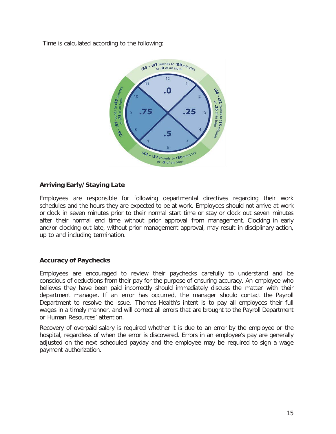Time is calculated according to the following:



# **Arriving Early/Staying Late**

Employees are responsible for following departmental directives regarding their work schedules and the hours they are expected to be at work. Employees should not arrive at work or clock in seven minutes prior to their normal start time or stay or clock out seven minutes after their normal end time without prior approval from management. Clocking in early and/or clocking out late, without prior management approval, may result in disciplinary action, up to and including termination.

# **Accuracy of Paychecks**

Employees are encouraged to review their paychecks carefully to understand and be conscious of deductions from their pay for the purpose of ensuring accuracy. An employee who believes they have been paid incorrectly should immediately discuss the matter with their department manager. If an error has occurred, the manager should contact the Payroll Department to resolve the issue. Thomas Health's intent is to pay all employees their full wages in a timely manner, and will correct all errors that are brought to the Payroll Department or Human Resources' attention.

Recovery of overpaid salary is required whether it is due to an error by the employee or the hospital, regardless of when the error is discovered. Errors in an employee's pay are generally adjusted on the next scheduled payday and the employee may be required to sign a wage payment authorization.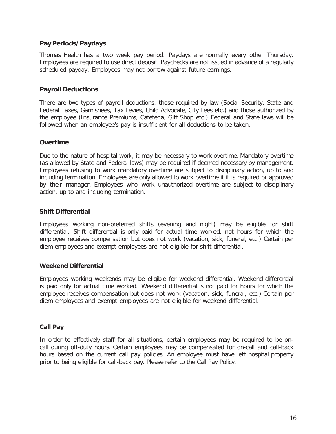# **Pay Periods/Paydays**

Thomas Health has a two week pay period. Paydays are normally every other Thursday. Employees are required to use direct deposit. Paychecks are not issued in advance of a regularly scheduled payday. Employees may not borrow against future earnings.

# **Payroll Deductions**

There are two types of payroll deductions: those required by law (Social Security, State and Federal Taxes, Garnishees, Tax Levies, Child Advocate, City Fees etc.) and those authorized by the employee (Insurance Premiums, Cafeteria, Gift Shop etc.) Federal and State laws will be followed when an employee's pay is insufficient for all deductions to be taken.

# **Overtime**

Due to the nature of hospital work, it may be necessary to work overtime. Mandatory overtime (as allowed by State and Federal laws) may be required if deemed necessary by management. Employees refusing to work mandatory overtime are subject to disciplinary action, up to and including termination. Employees are only allowed to work overtime if it is required or approved by their manager. Employees who work unauthorized overtime are subject to disciplinary action, up to and including termination.

#### **Shift Differential**

Employees working non-preferred shifts (evening and night) may be eligible for shift differential. Shift differential is only paid for actual time worked, not hours for which the employee receives compensation but does not work (vacation, sick, funeral, etc.) Certain per diem employees and exempt employees are not eligible for shift differential.

#### **Weekend Differential**

Employees working weekends may be eligible for weekend differential. Weekend differential is paid only for actual time worked. Weekend differential is not paid for hours for which the employee receives compensation but does not work (vacation, sick, funeral, etc.) Certain per diem employees and exempt employees are not eligible for weekend differential.

#### **Call Pay**

In order to effectively staff for all situations, certain employees may be required to be oncall during off-duty hours. Certain employees may be compensated for on-call and call-back hours based on the current call pay policies. An employee must have left hospital property prior to being eligible for call-back pay. Please refer to the Call Pay Policy.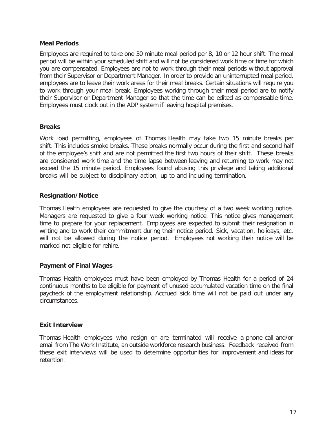### **Meal Periods**

Employees are required to take one 30 minute meal period per 8, 10 or 12 hour shift. The meal period will be within your scheduled shift and will not be considered work time or time for which you are compensated. Employees are not to work through their meal periods without approval from their Supervisor or Department Manager. In order to provide an uninterrupted meal period, employees are to leave their work areas for their meal breaks. Certain situations will require you to work through your meal break. Employees working through their meal period are to notify their Supervisor or Department Manager so that the time can be edited as compensable time. Employees must clock out in the ADP system if leaving hospital premises.

#### **Breaks**

Work load permitting, employees of Thomas Health may take two 15 minute breaks per shift. This includes smoke breaks. These breaks normally occur during the first and second half of the employee's shift and are not permitted the first two hours of their shift. These breaks are considered work time and the time lapse between leaving and returning to work may not exceed the 15 minute period. Employees found abusing this privilege and taking additional breaks will be subject to disciplinary action, up to and including termination.

# **Resignation/Notice**

Thomas Health employees are requested to give the courtesy of a two week working notice. Managers are requested to give a four week working notice. This notice gives management time to prepare for your replacement. Employees are expected to submit their resignation in writing and to work their commitment during their notice period. Sick, vacation, holidays, etc. will not be allowed during the notice period. Employees not working their notice will be marked not eligible for rehire.

# **Payment of Final Wages**

Thomas Health employees must have been employed by Thomas Health for a period of 24 continuous months to be eligible for payment of unused accumulated vacation time on the final paycheck of the employment relationship. Accrued sick time will not be paid out under any circumstances.

# **Exit Interview**

Thomas Health employees who resign or are terminated will receive a phone call and/or email from The Work Institute, an outside workforce research business. Feedback received from these exit interviews will be used to determine opportunities for improvement and ideas for retention.